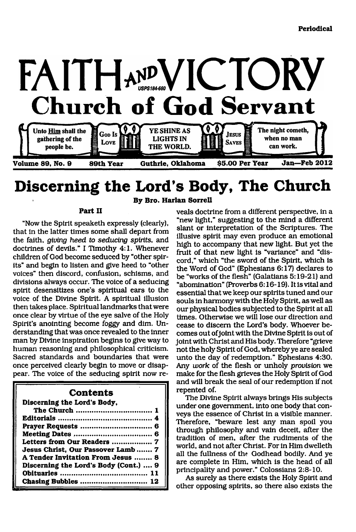

# **Discerning the Lord's Body, The Church**

#### **Part II**

"Now the Spirit speaketh expressly (clearly), that in the latter times some shall depart from the faith, *giving heed to seducing spirits,* and doctrines of devils." I Timothy 4:1. Whenever children of God become seduced by "other spirits" and begin to listen and give heed to "other voices" then discord, confusion, schisms, and divisions always occur. The voice of a seducing spirit desensitizes one's spiritual ears to the voice of the Divine Spirit. A spiritual illusion then takes place. Spiritual landmarks that were once clear by virtue of the eye salve of the Holy Spirit's anointing become foggy and dim. Understanding that was once revealed to the inner man by Divine inspiration begins to give way to human reasoning and philosophical criticism. Sacred standards and boundaries that were once perceived clearly begin to move or disappear. The voice of the seducing spirit now re-

### **Contents**

**Discerning the Lord's Body,**

| Letters from Our Readers  7           |
|---------------------------------------|
| Jesus Christ, Our Passover Lamb  7    |
| A Tender Invitation From Jesus  8     |
| Discerning the Lord's Body (Cont.)  9 |
|                                       |
|                                       |

**By Bro. Harlan Sorrell**

veals doctrine from a different perspective, in a "new light," suggesting to the mind a different slant or interpretation of the Scriptures. The illusive spirit may even produce an emotional high to accompany that new light. But yet the fruit of that new light is "variance" and "discord," which "the sword of the Spirit, which is the Word of God" (Ephesians 6:17) declares to be "works of the flesh" (Galatians 5:19-21) and "abomination" (Proverbs 6:16-19). It is vital and essential that we keep our spirits tuned and our souls in harmony with the Holy Spirit, as well as our physical bodies subjected to the Spirit at all times. Otherwise we will lose our direction and cease to discern the Lord's body. Whoever becomes out of joint with the Divine Spirit is out of joint with Christ and His body. Therefore "grieve not the holy Spirit of God, whereby ye are sealed unto the day of redemption." Ephesians 4:30. Any *work* of the flesh or unholy *provision* we make for the flesh grieves the Holy Spirit of God and will break the seal of our redemption if not repented of.

The Divine Spirit always brings His subjects under one government, into one body that conveys the essence of Christ in a visible manner. Therefore, "beware lest any man spoil you through philosophy and vain deceit, after the tradition of men, after the rudiments of the world, and not after Christ. For in Him dwelleth all the fullness of the Godhead bodily. And ye are complete in Him, which is the head of all principality and power." Colossians 2:8-10.

As surely as there exists the Holy Spirit and other opposing spirits, so there also exists the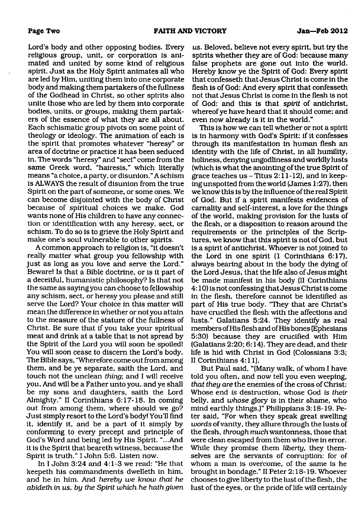Lord's body and other opposing bodies. Every religious group, unit, or corporation is animated and united by some kind of religious spirit. Just as the Holy Spirit animates all who are led by Him, uniting them into one corporate body and making them partakers of the fullness of the Godhead in Christ, so other spirits also unite those who are led by them into corporate bodies, units, or groups, making them partakers of the essence of what they are all about. Each schismatic group pivots on some point of theology or ideology. The animation of each is the spirit that promotes whatever "heresy" or area of doctrine or practice it has been seduced in. The words "heresy" and "sect" come from the same Greek word, "hairesis," which literally means "a choice, a party, or disunion. " A schism is ALWAYS the result of disunion from the true Spirit on the part of someone, or some ones. We can become disjointed with the body of Christ because of spiritual choices we make. God wants none of His children to have any connection or identification with any heresy, sect, or schism. To do so is to grieve the Holy Spirit and make one's soul vulnerable to other spirits.

A common approach to religion is, "it doesn't really matter what group you fellowship with just as long as you love and serve the Lord." Beware! Is that a Bible doctrine, or is it part of a deceitful, humanistic philosophy? Is that not the same as saying you can choose to fellowship any schism, sect, or heresy you please and still serve the Lord? Your choice in this matter will mean the difference in whether or not you attain to the measure of the stature of the fullness of Christ. Be sure that if you take your spiritual meat and drink at a table that is not spread by the Spirit of the Lord you will soon be spoiled! You will soon cease to discern the Lord's body. The Bible says, "Wherefore come out from among them, and be ye separate, saith the Lord, and touch not the unclean *thing*; and I will receive you. And will be a Father unto you, and ye shall be my sons and daughters, saith the Lord Almighty." II Corinthians 6:17-18. In coming out from among them, where should we go? Just simply resort to the Lord's body! You'll find it, identify it, and be a part of it simply by conforming to every precept and principle of God's Word and being led by His Spirit. "...And it is the Spirit that beareth witness, because the Spirit is truth." I John 5:6. Listen now.

In I John 3:24 and 4:1-3 we read: "He that keepeth his commandments dwelleth in him, and he in him. And *hereby we know that he abideth in us, by the Spirit which he hath given* *us.* Beloved, believe not every spirit, but try the spirits whether they are of God: because many false prophets are gone out into the world. Hereby know ye the Spirit of God: Every spirit that confesseth that Jesus Christ is come in the flesh is of God: And every spirit that confesseth not that Jesus Christ is come in the flesh is not of God: and this is that *spirit* of antichrist, whereof ye have heard that it should come; and even now already is it in the world."

This is how we can tell whether or not a spirit is in harmony with God's Spirit: if it confesses through its manifestation in human flesh an identity with the life of Christ, in all humility, holiness, denying ungodliness and worldly lusts (which is what the anointing of the true Spirit of grace teaches us  $-$  Titus 2:11-12), and in keeping unspotted from the world (James 1:27), then we know this is by the influence of the real Spirit of God. But if a spirit manifests evidences of carnality and self-interest, a love for the things of the world, making provision for the lusts of the flesh, or a disposition to reason around the requirements or the principles of the Scriptures, we know that this spirit is not of God, but is a spirit of antichrist. Whoever is not joined to the Lord in one spirit (1 Corinthians 6:17), always bearing about in the body the dying of the Lord Jesus, that the life also of Jesus might be made manifest in his body (II Corinthians 4:10) is not confessing that Jesus Christ is come in the flesh, therefore cannot be identified as part of His true body. "They that are Christ's have crucified the flesh with the affections and lusts." Galatians 5:24. They identify as real members of His flesh and of His bones (Ephesians 5:30) because they are crucified with Him (Galatians 2:20; 6:14). They are dead, and their life is hid with Christ in God (Colossians 3:3; II Corinthians 4:11).

But Paul said, "(Many walk, of whom I have told you often, and now tell you even weeping, *that they are* the enemies of the cross of Christ: Whose end *is* destruction, whose God *is their* belly, and *whose* glory *is* in their shame, who mind earthly things.)" Philippians 3:18-19. Peter said, "For when they speak great swelling *words* of vanity, they allure through the lusts of the flesh, *through much*wantonness, those that were clean escaped from them who live in error. While they promise them *liberty,* they themselves are the servants of corruption: for of whom a man is overcome, of the same is he brought in bondage." II Peter 2:18-19. Whoever chooses to give liberty to the lust of the flesh, the lust of the eyes, or the pride of life will certainly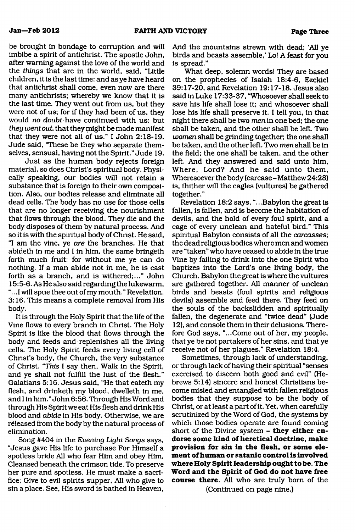be brought in bondage to corruption and will imbibe a spirit of antichrist. The apostle John, after warning against the love of the world and the *things* that are in the world, said, "Little children, it is the last time: and as ye have heard that antichrist shall come, even now are there many antichrists; whereby we know that it is the last time. They went out from us, but they were not of us; for if they had been of us, they would *no doubt have* continued with us: but *they went out, that they might be made manifest* 

selves, sensual, having not the Spirit." Jude 19. Just as the human body rejects foreign material, so does Christ's spiritual body. Physically speaking, our bodies will not retain a substance that is foreign to their own composition. Also, our bodies release and eliminate all dead cells. The body has no use for those cells that are no longer receiving the nourishment that flows through the blood. They die and the body disposes of them by natural process. And so it is with the spiritual body of Christ. He said, "I am the vine, ye *are* the branches. He that abideth in me and I in him, the same bringeth forth much fruit: for without me ye can do nothing. If a man abide not in me, he is cast forth as a branch, and is withered;..." John 15:5-6. As He also said regarding the lukewarm, "... I will spue thee out of my mouth. " Revelation. 3:16. This means a complete removal from His body.

that they were not all of us." I John 2:18-19. Jude said, "These be they who separate them-

It is through the Holy Spirit that the life of the Vine flows to every branch in Christ. The Holy Spirit is like the blood that flows through the body and feeds and replenishes all the living cells. The Holy Spirit feeds every living cell of Christ's body, the Church, the very substance of Christ. "This I say then, Walk in the Spirit, and ye shall not fulfill the lust of the flesh." Galatians 5:16. Jesus said, "He that eateth my flesh, and drinketh my blood, dwelleth in me, and I in him." John 6:56. Through His Word and through His Spirit we eat His flesh and drink His blood and *abide* in His body. Otherwise, we are released from the body by the natural process of elimination.

Song #404 in the *Evening Light Songs* says, "Jesus gave His life to purchase For Himself a spotless bride All who fear Him and obey Him, Cleansed beneath the crimson tide. To preserve her pure and spotless, He must make a sacrifice; Give to evil spirits supper, All who give to sin a place. See, His sword is bathed in Heaven,

And the mountains strewn with dead; 'All ye birds and beasts assemble,' Lo! A feast for you is spread."

What deep, solemn words! They are based on the prophecies of Isaiah 18:4-6, Ezekiel 39:17-20, and Revelation 19:17-18. Jesus also said in Luke 17:33-37, "Whosoever shall seek to save his life shall lose it; and whosoever shall lose his life shall preserve it. I tell you, in that night there shall be two *men* in one bed; the one shall be taken, and the other shall be left. Two *women* shall be grinding together; the one shall be taken, and the other left. Two *men* shall be in the field; the one shall be taken, and the other left. And they answered and said unto him, Where, Lord? And he said unto them, Wheresoever the body (carcase - Matthew24:28) is, thither will the eagles (vultures) be gathered together."

Revelation 18:2 says, "...Babylon the great is fallen, is fallen, and is become the habitation of devils, and the hold of every foul spirit, and a cage of every unclean and hateful bird." This spiritual Babylon consists of all the *carcasses',* the dead religious bodies where men and women are "taken" who have ceased to abide in the true Vine by failing to drink into the one Spirit who baptizes into the Lord's one living body, the Church. Babylon the great is where the vultures are gathered together. All manner of unclean birds and beasts (foul spirits and religious devils) assemble and feed there. They feed on the souls of the backslidden and spiritually fallen, the degenerate and "twice dead" (Jude 12), and console them in their delusions. Therefore God says, "...Come out of her, my people, that ye be not partakers of her sins, and that ye receive not of her plagues." Revelation 18:4.

Sometimes, through lack of understanding, or through lack of having their spiritual "senses exercised to discern both good and evil" (Hebrews 5:14) sincere and honest Christians become misled and entangled with fallen religious bodies that they suppose to be the body of Christ, or at least a part of it. Yet, when carefully scrutinized by the Word of God, the systems by which those bodies operate are found coming short of the Divine system - **they either en**dorse some kind of heretical doctrine, make **provision for sin in the flesh, or some element of human or satanic control is involved where Holy Spirit leadership ought to be. The** Word and the Spirit of God do not have free **course there.** All who are truly bom of the (Continued on page nine.)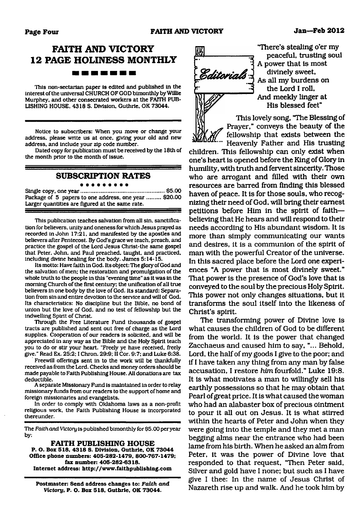### **FAITH AND VICTORY 12 PAGE HOLINESS MONTHLY** -------

This non-sectarian paper is edited and published in the Interest of the universal CHURCH OF GOD bimonthly by Willie Murphey, and other consecrated workers at the FAITH PUB-LISHING HOUSE. 4318 S. Division. Guthrie. OK 73044.

Notice to subscribers: When you move or change your address, please write us at once, giving your old and new address, and Include your zip code number.

Dated copy for publication must be received by the 18th of the month prior to the month of issue.

#### **SUBSCRIPTION RATES**

#### . . . . . . . . .

Single copy, one year......................................................\$5.00 Package of 5 papers to one address, one year ......... \$20.00 Larger quantities are figured at the same rate.

This publication teaches salvation from all sin. sanctification for believers, unity and oneness for which Jesus prayed as recorded in John 17:21, and manifested by the apostles and believers after Pentecost. By God's grace we teach, preach, and practice the gospel of the Lord Jesus Christ-the same gospel that Peter. John, and Paul preached, taught, and practiced. Including divine healing for the body. James 5:14-15.

Its motto: Have faith In God. Its object: The glory of God and the salvation of men: the restoration and promulgation of the whole truth to the people in this "evening time" as It was In the morning Church of the first century: the unification of all true believers in one body by the love of God. Its standard: Separation from sin and entire devotion to the service and will of God. Its characteristics: No discipline but the Bible, no bond of union but the love of God. and no test of fellowship but the indwelling Spirit of Christ.

Through the Free Literature Fund thousands of gospel tracts are published and sent out free of charge as the Lord supplies. Cooperation of our readers is solicited, and will be appreciated in any way as the Bible and the Holy Spirit teach you to do or stir your heart. "Freely ye have received, freely give." Read Ex. 25:2; I Chron. 29:9; II Cor. 9:7; and Luke 6:38.

Freewill offerings sent in to the work will be thankfully received as from the Lord. Checks and money orders should be made payable to Faith Publishing House. All donations are tax deductible.

A separate Missionary Fund is maintained In order to relay missionary funds from our readers to the support of home and foreign missionaries and evangelists.

In order to comply with Oklahoma laws as a non-profit religious work, the Faith Publishing House is incorporated thereunder.

The *Faithand Victory* is published bimonthly for \$5.00 per year by:

**FAITH PUBLISHING HOUSE P. O. Box 518. 4318 S. Division. Guthrie. OK 73044 Office phone numbers: 405-282-1479, 800-767-1479; fax number: 405-282-6318. Internet address: <http://www.faithpublishing.com>**

**Postmaster: Send address changes to:** *Faith and Victory,* **P. O. Box 518. Guthrie, OK 73044.**



"There's stealing o'er my peaceful, trusting soul A power that is most divinely sweet, As all my burdens on the Lord I roll, And meekly linger at His blessed feet"

This lovely song, "The Blessing of Prayer," conveys the beauty of the fellowship that exists between the *\Q1*.... jjeaveniy Father and His trusting

children. This fellowship can only exist when one's heart is opened before the King of Glory in humility, with truth and fervent sincerity. Those who are arrogant and filled with their own resources are barred from finding this blessed haven of peace. It is for those souls, who recognizing their need of God, will bring their earnest petitions before Him in the spirit of faith believing that He hears and will respond to their needs according to His abundant wisdom. It is more than simply communicating our wants and desires, it is a communion of the spirit of man with the powerful Creator of the universe. In this sacred place before the Lord one experiences "A power that is most divinely sweet." That power is the presence of God's love that is conveyed to the soul by the precious Holy Spirit. This power not only changes situations, but it transforms the soul itself into the likeness of Christ's spirit.

The transforming power of Divine love is what causes the children of God to be different from the world. It is the power that changed Zacchaeus and caused him to say, "... Behold, Lord, the half of my goods I give to the poor; and if I have taken any thing from any man by false accusation, I restore *him* fourfold." Luke 19:8. It is what motivates a man to willingly sell his earthly possessions so that he may obtain that Pearl of great price. It is what caused the woman who had an alabaster box of precious ointment to pour it all out on Jesus. It is what stirred within the hearts of Peter and John when they were going into the temple and they met a man begging alms near the entrance who had been lame from his birth. When he asked an aim from Peter, it was the power of Divine love that responded to that request, "Then Peter said, Silver and gold have I none; but such as I have give I thee: In the name of Jesus Christ of Nazareth rise up and walk. And he took him by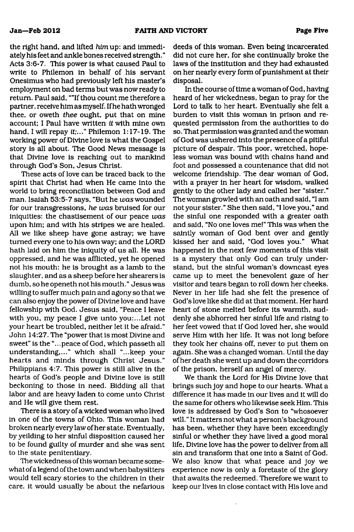the right hand, and lifted *him* up: and immediately his feet and ankle bones received strength." Acts 3:6-7. This power is what caused Paul to write to Philemon in behalf of his servant Onesimus who had previously left his master's employment on bad terms but was now ready to return. Paul said, ""If thou count me therefore a partner, receive him as myself. If he hath wronged thee, or oweth *thee* ought, put that on mine account; I Paul have written *it* with mine own hand, I will repay it;..." Philemon 1:17-19. The working power of Divine love is what the Gospel story is all about. The Good News message is that Divine love is reaching out to mankind through God's Son, Jesus Christ.

These acts of love can be traced back to the spirit that Christ had when He came into the world to bring reconciliation between God and man. Isaiah 53:5-7 says, "But he *was* wounded for our transgressions, *he was* bruised for our iniquities: the chastisement of our peace *was* upon him; and with his stripes we are healed. All we like sheep have gone astray; we have turned every one to his own way; and the LORD hath laid on him the iniquity of us all. He was oppressed, and he was afflicted, yet he opened not his mouth: he is brought as a lamb to the slaughter, and as a sheep before her shearers is dumb, sohe openeth not his mouth." Jesus was willing to suffer much pain and agony so that we can also enjoy the power of Divine love and have fellowship with God. Jesus said, "Peace I leave with you, my peace I give unto you:...Let not your heart be troubled, neither let it be afraid." John 14:27. The "power that is most Divine and sweet" is the "...peace of God, which passeth all understanding,..." which shall "...keep your hearts and minds through Christ Jesus." Philippians 4:7. This power is still alive in the hearts of God's people and Divine love is still beckoning to those in need. Bidding all that labor and are heavy laden to come unto Christ and He will give them rest.

There is a story of a wicked woman who lived in one of the towns of Ohio. This woman had broken nearly every law of her state. Eventually, by yeilding to her sinful disposition caused her to be found guilty of murder and she was sent to the state penitentiary.

The wickedness of this woman became somewhat of a legend of the town and when babysitters would tell scary stories to the children in their care, it would usually be about the nefarious

deeds of this woman. Even being incarcerated did not cure her, for she continually broke the laws of the institution and they had exhausted on her nearly every form of punishment at their disposal.

In the course of time a woman of God, having heard of her wickedness, began to pray for the Lord to talk to her heart. Eventually she felt a burden to visit this woman in prison and requested permission from the authorities to do so. That permission was granted and the woman of God was ushered into the presence of a pitiful picture of despair. This poor, wretched, hopeless woman was bound with chains hand and foot and possessed a countenance that did not welcome friendship. The dear woman of God, with a prayer in her heart for wisdom, walked gently to the other lady and called her "sister." The woman growled with an oath and said, "I am not your sister." She then said, "I love you," and the sinful one responded with a greater oath and said, "No one loves me!" This was when the saintly woman of God bent over and gently kissed her and said, "God loves you." What happened in the next few moments of this visit is a mystery that only God can truly understand, but the sinful woman's downcast eyes came up to meet the benevolent gaze of her visitor and tears began to roll down her cheeks. Never in her life had she felt the presence of God's love like she did at that moment. Her hard heart of stone melted before its warmth, suddenly she abhorred her sinful life and rising to her feet vowed that if God loved her, she would serve Him with her life. It was not long before they took her chains off, never to put them on again. She was a changed woman. Until the day of her death she went up and down the corridors of the prison, herself an angel of mercy.

We thank the Lord for His Divine love that brings such joy and hope to our hearts. What a difference it has made in our lives and it will do the same for others who likewise seek Him. This love is addressed by God's Son to "whosoever will. " It matters not what a person's background has been, whether they have been exceedingly sinful or whether they have lived a good moral life, Divine love has the power to deliver from all sin and transform that one into a Saint of God. We also know that what peace and joy we experience now is only a foretaste of the glory that awaits the redeemed. Therefore we want to keep our lives in close contact with His love and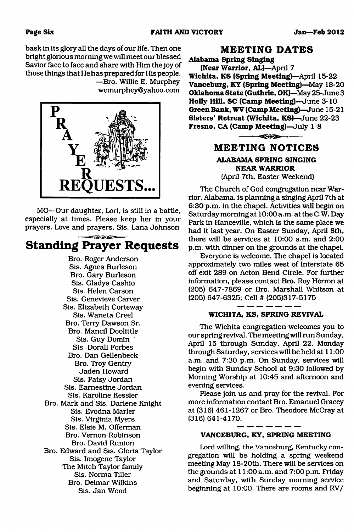bask in its glory all the days of our life. Then one bright glorious morning we will meet our blessed Savior face to face and share with Him the joy of those things that He has prepared for His people.

—Bro. Willie E. Murphey [wemurphey@yahoo.com](mailto:wemurphey@yahoo.com)



MO—Our daughter, Lori, is still in a battle, especially at times. Please keep her in your prayers. Love and prayers, Sis. Lana Johnson

## **Standing Prayer Requests**

Bro. Roger Anderson Sis. Agnes Burleson Bro. Gary Burleson Sis. Gladys Cashio Sis. Helen Carson Sis. Genevieve Carver Sis. Elizabeth Corteway Sis. Waneta Creel Bro. Terry Dawson Sr. Bro. Mancil Doolittle Sis. Guy Domin \* Sis. Dorall Forbes Bro. Dan Gellenbeck Bro. Troy Gentry Jaden Howard Sis. Patsy Jordan Sis. Eamestine Jordan Sis. Karoline Kessler Bro. Mark and Sis. Darlene Knight Sis. Evodna Marler Sis. Virginia Myers Sis. Elsie M. Offerman Bro. Vernon Robinson Bro. David Runion Bro. Edward and Sis. Gloria Taylor Sis. Imogene Taylor The Mitch Taylor family Sis. Norma Tiller Bro. Delmar Wilkins Sis. Jan Wood

### **MEETING DATES**

**Alabama Spring Singing (Near Warrior, AL)**—April 7 **Wichita, KS (Spring Meeting)**—April 15-22 **Vanceburg, KY (Spring Meeting)**—May 18-20 **Oklahoma State (Guthrie, OK)**—May 25-June 3 **Holly Hill, SC (Camp Meeting)—**June 3-10 **Green Bank, WV (Camp Meeting)**—June 15-21 **Sisters' Retreat (Wichita, KS)**—June 22-23 **Fresno, CA (Camp Meeting)—**July 1-8



### **ALABAMA SPRING SINGING NEAR WARRIOR**

(April 7th, Easter Weekend)

The Church of God congregation near Warrior, Alabama, is planning a singing April 7th at 6:30 p.m. in the chapel. Activities will begin on Saturday morning at 10:00 a.m. at the C.W. Day Park in Hanceville, which is the same place we had it last year. On Easter Sunday, April 8th, there will be services at 10:00 a.m. and 2:00 p.m. with dinner on the grounds at the chapel.

Everyone is welcome. The chapel is located approximately two miles west of Interstate 65 off exit 289 on Acton Bend Circle. For further information, please contact Bro. Roy Herron at (205) 647-7869 or Bro. Marshall Whitson at (205) 647-6325; CeU # (205)317-5175

### **WICHITA, KS, SPRING REVIVAL**

The Wichita congregation welcomes you to our spring revival. The meeting will run Sunday, April 15 through Sunday, April 22. Monday through Saturday, services will be held at 11:00 a.m. and 7:30 p.m. On Sunday, services will begin with Sunday School at 9:30 followed by Morning Worship at 10:45 and afternoon and evening services.

Please join us and pray for the revival. For more information contact Bro. Emanuel Gracey at (316) 461-1267 or Bro. Theodore McCray at (316) 641-4170.

### **VANCEBURG, KY, SPRING MEETING**

Lord willing, the Vanceburg, Kentucky congregation will be holding a spring weekend meeting May 18-20th. There will be services on the grounds at 11:00 a.m. and 7:00 p.m. Friday and Saturday, with Sunday morning service beginning at 10:00. There are rooms and RV/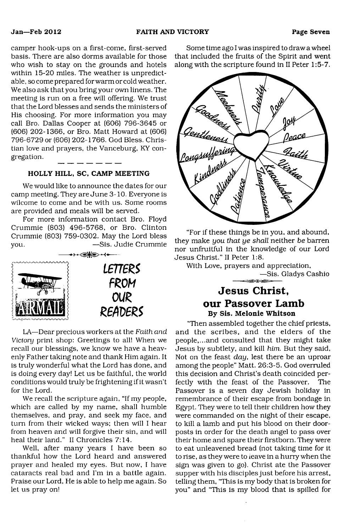camper hook-ups on a first-come, first-served basis. There are also dorms available for those who wish to stay on the grounds and hotels within 15-20 miles. The weather is unpredictable, so come prepared for warm or cold weather. We also ask that you bring your own linens. The meeting is run on a free will offering. We trust that the Lord blesses and sends the ministers of His choosing. For more information you may call Bro. Dallas Cooper at (606) 796-3645 or (606) 202-1366, or Bro. Matt Howard at (606) 796-6729 or (606) 202-1766. God Bless. Christian love and prayers, the Vanceburg, KY congregation.  $-$ 

### HOLLY HILL, SC, CAMP MEETING

We would like to announce the dates for our camp meeting. They are June 3-10. Everyone is wilcome to come and be with us. Some rooms are provided and meals will be served.

For more information contact Bro. Floyd Crummie (803) 496-5768, or Bro. Clinton Crummie (803) 759-0302. May the Lord bless you. —Sis. Judie Crummie



LA—Dear precious workers at the *Faith and Victory* print shop: Greetings to all! When we recall our blessings, we know we have a heavenly Father taking note and thank Him again. It is truly wonderful what the Lord has done, and is doing every day! Let us be faithful, the world conditions would truly be frightening if it wasn't for the Lord.

We recall the scripture again, "If my people, which are called by my name, shall humble themselves, and pray, and seek my face, and turn from their wicked ways; then will I hear from heaven and will forgive their sin, and will heal their land." II Chronicles 7:14.

Well, after many years I have been so thankful how the Lord heard and answered prayer and healed my eyes. But now, I have cataracts real bad and I'm in a battle again. Praise our Lord, He is able to help me again. So let us pray on!

Some time ago I was inspired to draw a wheel that included the fruits of the Spirit and went along with the scripture found in II Peter 1:5-7.



"For if these things be in you, and abound, they make *you that ye shall* neither *be* barren nor unfruitful in the knowledge of our Lord Jesus Christ." II Peter 1:8.

With Love, prayers and appreciation, —Sis. Gladys Cashio

### **Jesus Christ, our Passover Lamb** By Sis. Melonie Whitson

"Then assembled together the chief priests, and the scribes, and the elders of the people,...and consulted that they might take Jesus by subtlety, and kill *him.* But they said, Not on the feast *day,* lest there be an uproar among the people" Matt. 26:3-5. God overruled this decision and Christ's death coincided perfectly with the feast of the Passover. The Passover is a seven day Jewish holiday in remembrance of their escape from bondage in Egypt. They were to tell their children how they were commanded on the night of their escape, to kill a lamb and put his blood on their doorposts in order for the death angel to pass over their home and spare their firstborn. They were to eat unleavened bread (not taking time for it to rise, as they were to leave in a hurry when the sign was given to go). Christ ate the Passover supper with his disciples just before his arrest, telling them, "This is my body that is broken for you" and "This is my blood that is spilled for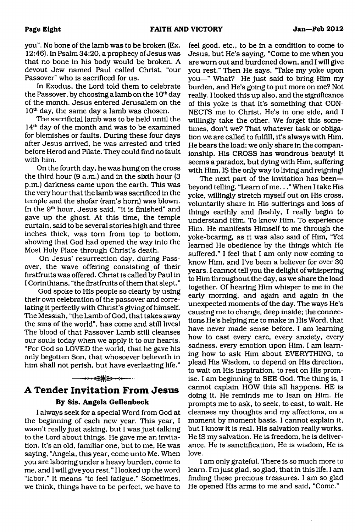you". No bone of the lamb was to be broken (Ex. 12:46). In Psalm 34:20, a prophecy of Jesus was that no bone in his body would be broken. A devout Jew named Paul called Christ, "our Passover" who is sacrificed for us.

In Exodus, the Lord told them to celebrate the Passover, by choosing a lamb on the  $10<sup>th</sup>$  day of the month. Jesus entered Jerusalem on the  $10<sup>th</sup>$  day, the same day a lamb was chosen.

The sacrificial lamb was to be held until the 14<sup>th</sup> day of the month and was to be examined for blemishes or faults. During these four days after Jesus arrived, he was arrested and tried before Herod and Pilate. They could find no fault with him.

On the fourth day, he was hung on the cross the third hour (9 a.m.) and in the sixth hour (3 p.m.) darkness came upon the earth. This was the very hour that the lamb was sacrificed in the temple and the shofar (ram's horn) was blown. In the 9th hour, Jesus said, "It is finished" and gave up the ghost. At this time, the temple curtain, said to be several stories high and three inches thick, was tom from top to bottom, showing that God had opened the way into the Most Holy Place through Christ's death.

On Jesus' resurrection day, during Passover, the wave offering consisting of their firstfruits was offered. Christ is called by Paul in I Corinthians, "the firstfruits of them that slept."

God spoke to His people so clearly by using their own celebration of the passover and correlating it perfectly with Christ's giving of himself. The Messiah, "the Lamb of God, that takes away the sins of the world", has come and still lives! The blood of that Passover Lamb still cleanses our souls today when we apply it to our hearts. "For God so LOVED the world, that he gave his only begotten Son, that whosoever believeth in him shall not perish, but have everlasting life."

### **A Tender Invitation From Jesus By Sis. Angela Gellenbeck**

 $\longrightarrow$ 

I always seek for a special Word from God at the beginning of each new year. This year, I wasn't really just asking, but I was just talking to the Lord about things. He gave me an invitation. It's an old, familiar one, but to me, He was saying, "Angela, this year, come unto Me. When you are laboring under a heavy burden, come to me, and I will give you rest." I looked up the word "labor." It means "to feel fatigue." Sometimes, we think, things have to be perfect, we have to

feel good, etc., to be in a condition to come to Jesus, but He's saying, "Come to me when you are worn out and burdened down, and I will give you rest." Then He says, "Take my yoke upon you—" What? He just said to bring Him my burden, and He's going to put more on me? Not really. I looked this up also, and the significance of this yoke is that it's something that CON-NECTS me to Christ. He's in one side, and I willingly take the other. We forget this sometimes, don't we? That whatever task or obligation we are called to fulfill, it's always with Him. He bears the load; we only share in the companionship. His CROSS has wondrous beauty! It seems a paradox, but dying with Him, suffering with Him, IS the only way to living and reigning!

The next part of the invitation has been beyond telling. "Learn of me..." When I take His yoke, willingly stretch myself out on His cross, voluntarily share in His sufferings and loss of things earthly and fleshly, I really begin to understand Him. To know Him. To experience Him. He manifests Himself to me through the yoke-bearing, as it was also said of Him, "Yet learned He obedience by the things which He suffered." I feel that I am only now coming to know Him, and I've been a believer for over 30 years. I cannot tell you the delight of whispering to Him throughout the day, as we share the load together. Of hearing Him whisper to me in the early morning, and again and again in the unexpected moments of the day. The ways He's causing me to change, deep inside; the connections He's helping me to make in His Word, that have never made sense before. I am learning how to cast every care, every anxiety, every sadness, every emotion upon Him. I am learning how to ask Him about EVERYTHING, to plead His Wisdom, to depend on His direction, to wait on His inspiration, to rest on His promise. I am beginning to SEE God. The thing is, I cannot explain HOW this all happens. HE is doing it. He reminds me to lean on Him. He prompts me to ask, to seek, to cast, to wait. He cleanses my thoughts and my affections, on a moment by moment basis. I cannot explain it, but I know it is real. His salvation really works. He IS my salvation. He is freedom, he is deliverance, He is sanctification, He is wisdom. He is love.

I am only grateful. There is so much more to learn. I'mjust glad, so glad, that in this life, I am finding these precious treasures. I am so glad He opened His arms to me and said, "Come."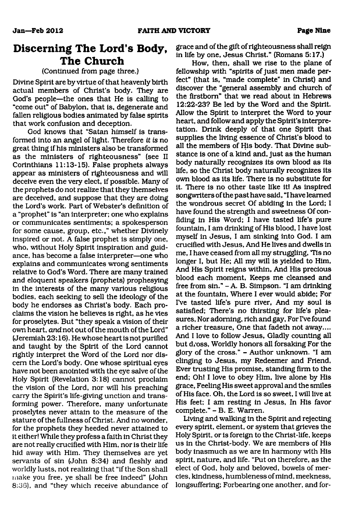### **Discerning The Lord's Body, The Church**

### (Continued from page three.)

Divine Spirit are by virtue of that heavenly birth actual members of Christ's body. They are God's people—the ones that He is calling to "come out" of Babylon, that is, degenerate and fallen religious bodies animated by false spirits that work confusion and deception.

God knows that "Satan himself is transformed into an angel of light. Therefore *it is* no great thing if his ministers also be transformed as the ministers of righteousness" (see II Corinthians 11:13-15). False prophets always appear as ministers of righteousness and will deceive even the very elect, if possible. Many of the prophets do not realize that they themselves are deceived, and suppose that they are doing the Lord's work. Part of Webster's definition of a "prophet" is "an interpreter; one who explains or communicates sentiments; a spokesperson for some cause, group, etc.," whether Divinely inspired or not. A false prophet is simply one, who, without Holy Spirit inspiration and guidance, has become a false interpreter—one who explains and communicates wrong sentiments relative to God's Word. There are many trained and eloquent speakers (prophets) prophesying in the interests of the many various religious bodies, each seeking to sell the ideology of the body he endorses as Christ's body. Each proclaims the vision he believes is right, as he vies for proselytes. But "they speak a vision of their own heart, *and* not out of the mouth of the Lord" (Jeremiah 23:16). He whose heart is not purified and taught by the Spirit of the Lord cannot rightly interpret the Word of the Lord nor discern the Lord's body. One whose spiritual eyes have not been anointed with the eye salve of the Holy Spirit (Revelation 3:18) cannot proclaim the vision of the Lord, nor will his preaching carry the Spirit's life-giving unction and transforming power. Therefore, many unfortunate proselytes never attain to the measure of the stature of the fullness of Christ. And no wonder, for the prophets they heeded never attained to it either! While they profess a faith in Christ they are not really crucified with Him, nor is their life hid away with Him. They themselves are yet servants of sin (John 8:34) and fleshly and worldly lusts, not realizing that "if the Son shall make you free, ye shall be free indeed" (John 8:36), and "they which receive abundance of grace and of the gift of righteousness shall reign in life by one, Jesus Christ." (Romans 5:17.)

How, then, shall we rise to the plane of fellowship with "spirits of just men made perfect" (that is, "made complete" in Christ) and discover the "general assembly and church of the firstborn" that we read about in Hebrews 12:22-23? Be led by the Word and the Spirit. Allow the Spirit to interpret the Word to your heart, and follow and apply the Spirit's interpretation. Drink deeply of that one Spirit that supplies the living essence of Christ's blood to all the members of His body. That Divine substance is one of a kind and, just as the human body naturally recognizes its own blood as its life, so the Christ body naturally recognizes its own blood as its life. There is no substitute for it. There is no other taste like it! As inspired songwriters of the past have said, "I have learned the wondrous secret Of abiding in the Lord; I have found the strength and sweetness Of confiding in His Word; I have tasted life's pure fountain, I am drinking of His blood, I have lost myself in Jesus, I am sinking into God. I am crucified with Jesus, And He lives and dwells in me, I have ceased from all my struggling, Tis no longer I, but He; All my will is yielded to Him, And His Spirit reigns within, And His precious blood each moment, Keeps me cleansed and free from sin." - A. B. Simpson. "I am drinking at the fountain, Where I ever would abide; For I've tasted life's pure river, And my soul is satisfied; There's no thirsting for life's pleasures, Nor adorning, rich and gay, For I've found a richer treasure, One that fadeth not away.... And I love to follow Jesus, Gladly counting all but dross, Worldly honors all forsaking For the glory of the cross." - Author unknown. "I am clinging to Jesus, my Redeemer and Friend, Ever trusting His promise, standing firm to the end; Oh! I love to obey Him, live alone by His grace, Feeling His sweet approval and the smiles of His face. Oh, the Lord is so sweet, I will live at His feet; I am resting in Jesus, In His favor complete." - B. E. Warren.

Living and walking in the Spirit and rejecting every spirit, element, or system that grieves the Holy Spirit, or is foreign to the Christ-life, keeps us in the Christ-body. We are members of His body inasmuch as we are in harmony with His spirit, nature, and life. "Put on therefore, as the elect of God, holy and beloved, bowels of mercies, kindness, humbleness of mind, meekness, longsuffering; Forbearing one another, and for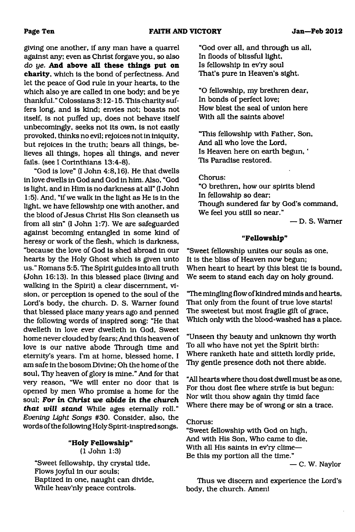giving one another, if any man have a quarrel against any; even as Christ forgave you, so also *do ye.* **And above all these things put on charity,** which is the bond of perfectness. And let the peace of God rule in your hearts, to the which also ye are called in one body; and be ye thankful." Colossians 3:12-15. This charity suffers long, and is kind; envies not; boasts not itself, is not puffed up, does not behave itself unbecomingly, seeks not its own, is not easily provoked, thinks no evil; rejoices not in iniquity, but rejoices in the truth; bears all things, believes all things, hopes all things, and never fails, (see I Corinthians 13:4-8).

"God is love" (I John 4:8,16). He that dwells in love dwells in God and God in him. Also, "God is light, and in Him is no darkness at all" (I John 1:5). And, "if we walk in the light as He is in the light, we have fellowship one with another, and the blood of Jesus Christ His Son cleanseth us from all sin" (I John 1:7). We are safeguarded against becoming entangled in some kind of heresy or work of the flesh, which is darkness, "because the love of God is shed abroad in our hearts by the Holy Ghost which is given unto us." Romans 5:5. The Spirit guides into all truth (John 16:13). In this blessed place (living and walking in the Spirit) a clear discernment, vision, or perception is opened to the soul of the Lord's body, the church. D. S. Warner found that blessed place many years ago and penned the following words of inspired song: "He that dwelleth in love ever dwelleth in God, Sweet home never clouded by fears; And this heaven of love is our native abode Through time and eternity's years. I'm at home, blessed home, I am safe in the bosom Divine; Oh the home of the soul, Thy heaven of glory is mine." And for that very reason, "We will enter no door that is opened by men Who promise a home for the soul; **For** *in Christ we abide in the church that will stand* While ages eternally roll." *Evening Light Songs* #30. Consider, also, the words of the following Holy Spirit-inspired songs.

#### **"Holy Fellowship"** (1 John 1:3)

"Sweet fellowship, thy crystal tide, Flows joyful in our souls; Baptized in one, naught can divide, While heav'nly peace controls.

"God over all, and through us all, In floods of blissful light, Is fellowship in ev'ry soul That's pure in Heaven's sight.

"O fellowship, my brethren dear, In bonds of perfect love; How blest the seal of union here With all the saints above!

"This fellowship with Father, Son, And all who love the Lord, Is Heaven here on earth begun, ' Tis Paradise restored.

### Chorus:

"O brethren, how our spirits blend In fellowship so dear; Though sundered far by God's command, We feel you still so near."

— D. S. Warner

#### **"Fellowship"**

"Sweet fellowship unites our souls as one, It is the bliss of Heaven now begun; When heart to heart by this blest tie is bound, We seem to stand each day on holy ground.

"The mingling flow of kindred minds and hearts, That only from the fount of true love starts! The sweetest but most fragile gift of grace, Which only with the blood-washed has a place.

"Unseen thy beauty and unknown thy worth To all who have not yet the Spirit birth: Where ranketh hate and sitteth lordly pride, Thy gentle presence doth not there abide.

"All hearts where thou dost dwell must be as one, For thou dost flee where strife is but begun: Nor wilt thou show again thy timid face Where there may be of wrong or sin a trace.

### Chorus:

"Sweet fellowship with God on high, And with His Son, Who came to die, With all His saints in ev'ry clime— Be this my portion all the time."

— C. W. Naylor

Thus we discern and experience the Lord's body, the church. Amen!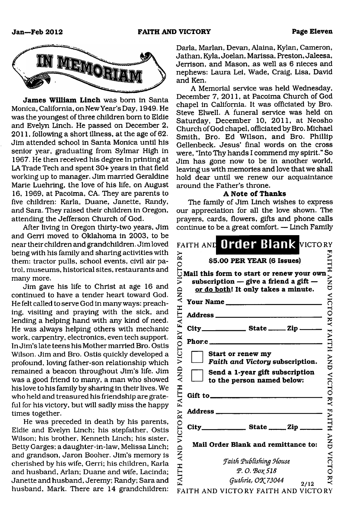

**James William Linch** was bom in Santa Monica, California, on New Year's Day, 1949. He was the youngest of three children bom to Eldie and Evelyn Linch. He passed on December 2, 2011, following a short illness, at the age of 62. Jim attended school in Santa Monica until his senior year, graduating from Sylmar High in 1967. He then received his degree in printing at LA Trade Tech and spent 30+ years in that field working up to manager. Jim married Geraldine Marie Luehring, the love of his life, on August 16, 1969, at Pacoima, CA. They are parents to five children: Karla, Duane, Janette, Randy, and Sara. They raised their children in Oregon, attending the Jefferson Church of God.

After living in Oregon thirty-two years, Jim and Gerri moved to Oklahoma in 2003, to be near their children and grandchildren. Jim loved being with his family and sharing activities with them: tractor pulls, school events, civil air patrol, museums, historical sites, restaurants and many more.

Jim gave his life to Christ at age 16 and continued to have a tender heart toward God. He felt called to serve God in many ways: preaching, visiting and praying with the sick, and lending a helping hand with any kind of need. He was always helping others with mechanic work, carpentry, electronics, even tech support. In Jim's late teens his Mother married Bro. Ostis Wilson. Jim and Bro. Ostis quickly developed a profound, loving father-son relationship which remained a beacon throughout Jim's life. Jim was a good friend to many, a man who showed his love to his family by sharing in their lives. We who held and treasured his friendship are grateful for his victory, but will sadly miss the happy times together.

He was preceded in death by his parents, Eldie and Evelyn Linch; his stepfather, Ostis Wilson; his brother, Kenneth Linch; his sister, Betty Garges; a daughter-in-law, Melissa Linch; and grandson, Jaron Booher. Jim's memory is cherished by his wife, Gerri; his children, Karla and husband, Arlan; Duane and wife, Lacinda; Janette and husband, Jeremy; Randy; Sara and husband, Mark. There are 14 grandchildren:

Darla, Marian, Devan, Alaina, Kylan, Cameron, Jathan, Kyla, Joelan, Marissa, Preston, Jaleesa, Jerrison, and Mason, as well as 6 nieces and nephews: Laura Lei, Wade, Craig, Lisa, David and Ken.

A Memorial service was held Wednesday, December 7, 2011, at Pacoima Church of God chapel in California. It was officiated by Bro. Steve Elwell. A funeral service was held on Saturday, December 10, 2011, at Neosho Church of God chapel, officiated by Bro. Michael Smith, Bro. Ed Wilson, and Bro. Phillip Gellenbeck. Jesus' final words on the cross were, "Into Thy hands I commend my spirit." So Jim has gone now to be in another world, leaving us with memories and love that we shall hold dear until we renew our acquaintance around the Father's throne.

#### **A Note of Thanks**

The family of Jim Linch wishes to express our appreciation for all the love shown. The prayers, cards, flowers, gifts and phone calls continue to be a great comfort. — Linch Family

|                   |                          | FAITH AND Order Blank VICTORY                                                                                                                                                                                                                                                                                                               |                      |
|-------------------|--------------------------|---------------------------------------------------------------------------------------------------------------------------------------------------------------------------------------------------------------------------------------------------------------------------------------------------------------------------------------------|----------------------|
|                   |                          |                                                                                                                                                                                                                                                                                                                                             | <b>EAITH</b>         |
|                   |                          | $\begin{array}{ll}\n\approx & 55.00 \text{ PER YEAR (6 Issues)}\\ \odot & 55.00 \text{ PER YEAR (6 Issues)}\\ \odot \text{Mail this form to start or renewal your own}\\ \ge & 5 \text{ subscription — give a friend a gift } \end{array}$<br>subscription $-$ give a friend a gift $-$<br>or do both! It only takes a minute.<br>Your Name | $\sum_{i=1}^{n}$     |
|                   |                          |                                                                                                                                                                                                                                                                                                                                             |                      |
| VICTORY FAITH AND |                          |                                                                                                                                                                                                                                                                                                                                             | VICTORY FAITH        |
|                   |                          | Phor.e                                                                                                                                                                                                                                                                                                                                      |                      |
|                   |                          | Start or renew my<br>Faith and Victory subscription.                                                                                                                                                                                                                                                                                        |                      |
| AND               |                          | Send a 1-year gift subscription<br>to the person named below:                                                                                                                                                                                                                                                                               | AND ALCHORY FAILLE   |
| FAITH             |                          | Gift to $\qquad \qquad$                                                                                                                                                                                                                                                                                                                     |                      |
|                   |                          |                                                                                                                                                                                                                                                                                                                                             |                      |
| AND VICTORY       | $City$ <sub>______</sub> |                                                                                                                                                                                                                                                                                                                                             |                      |
|                   |                          | Mail Order Blank and remittance to:                                                                                                                                                                                                                                                                                                         | <b>AND</b>           |
|                   |                          | <b>Faith Publishing House</b><br>Ρ.Ο. Βοχ 518                                                                                                                                                                                                                                                                                               | <b>VICTO</b>         |
| FAITH             |                          | Guthrie, OK 73044<br>2/12<br>UN ULOTO BU PLITIL LUD                                                                                                                                                                                                                                                                                         | $\check{\mathbf{z}}$ |

FAITH AND VICTORY FAITH AND VICTORY